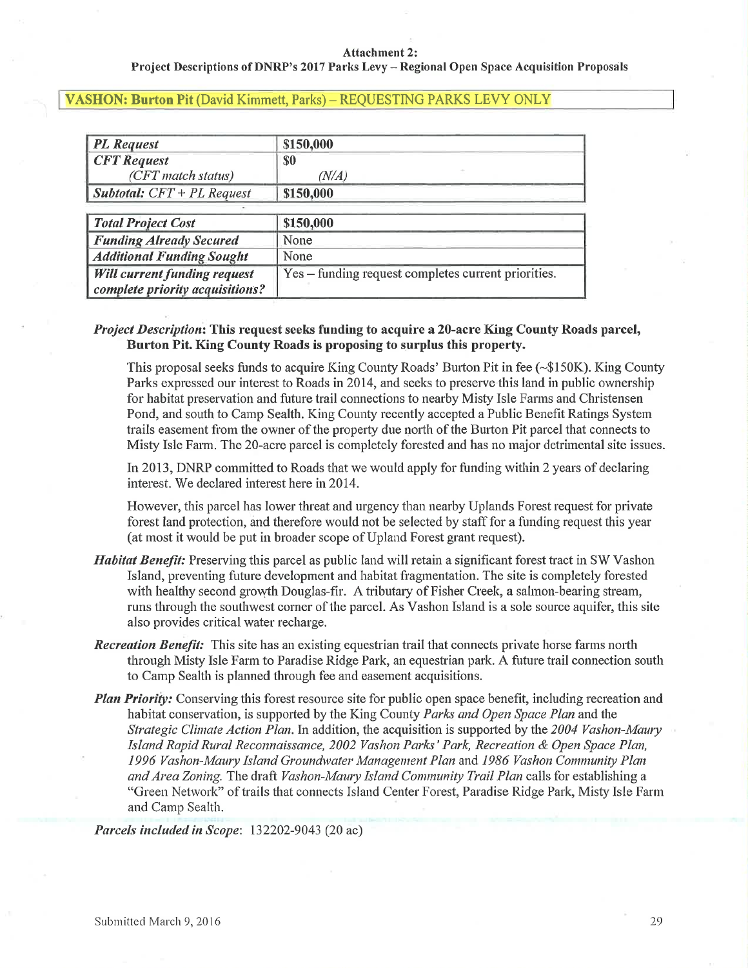#### **Attachment 2:**

### Project Descriptions of DNRP's 2017 Parks Levy - Regional Open Space Acquisition Proposals

#### **VASHON: Burton Pit (David Kimmett, Parks) - REQUESTING PARKS LEVY ONLY**

| <b>PL</b> Request                   | \$150,000                                           |
|-------------------------------------|-----------------------------------------------------|
| <b>CFT</b> Request                  | <b>SO</b>                                           |
| (CFT match status)                  | (N/A)                                               |
| <b>Subtotal:</b> $CFT + PL$ Request | \$150,000                                           |
|                                     |                                                     |
| <b>Total Project Cost</b>           | \$150,000                                           |
| <b>Funding Already Secured</b>      | None                                                |
| <b>Additional Funding Sought</b>    | None                                                |
| <b>Will current funding request</b> | Yes – funding request completes current priorities. |
| complete priority acquisitions?     |                                                     |

## Project Description: This request seeks funding to acquire a 20-acre King County Roads parcel, Burton Pit. King County Roads is proposing to surplus this property.

This proposal seeks funds to acquire King County Roads' Burton Pit in fee (~\$150K). King County Parks expressed our interest to Roads in 2014, and seeks to preserve this land in public ownership for habitat preservation and future trail connections to nearby Misty Isle Farms and Christensen Pond, and south to Camp Sealth. King County recently accepted a Public Benefit Ratings System trails easement from the owner of the property due north of the Burton Pit parcel that connects to Misty Isle Farm. The 20-acre parcel is completely forested and has no major detrimental site issues.

In 2013, DNRP committed to Roads that we would apply for funding within 2 years of declaring interest. We declared interest here in 2014.

However, this parcel has lower threat and urgency than nearby Uplands Forest request for private forest land protection, and therefore would not be selected by staff for a funding request this year (at most it would be put in broader scope of Upland Forest grant request).

- *Habitat Benefit:* Preserving this parcel as public land will retain a significant forest tract in SW Vashon Island, preventing future development and habitat fragmentation. The site is completely forested with healthy second growth Douglas-fir. A tributary of Fisher Creek, a salmon-bearing stream, runs through the southwest corner of the parcel. As Vashon Island is a sole source aquifer, this site also provides critical water recharge.
- **Recreation Benefit:** This site has an existing equestrian trail that connects private horse farms north through Misty Isle Farm to Paradise Ridge Park, an equestrian park. A future trail connection south to Camp Sealth is planned through fee and easement acquisitions.
- Plan Priority: Conserving this forest resource site for public open space benefit, including recreation and habitat conservation, is supported by the King County Parks and Open Space Plan and the Strategic Climate Action Plan. In addition, the acquisition is supported by the 2004 Vashon-Maury Island Rapid Rural Reconnaissance, 2002 Vashon Parks' Park, Recreation & Open Space Plan, 1996 Vashon-Maury Island Groundwater Management Plan and 1986 Vashon Community Plan and Area Zoning. The draft Vashon-Maury Island Community Trail Plan calls for establishing a "Green Network" of trails that connects Island Center Forest, Paradise Ridge Park, Misty Isle Farm and Camp Sealth.

Parcels included in Scope: 132202-9043 (20 ac)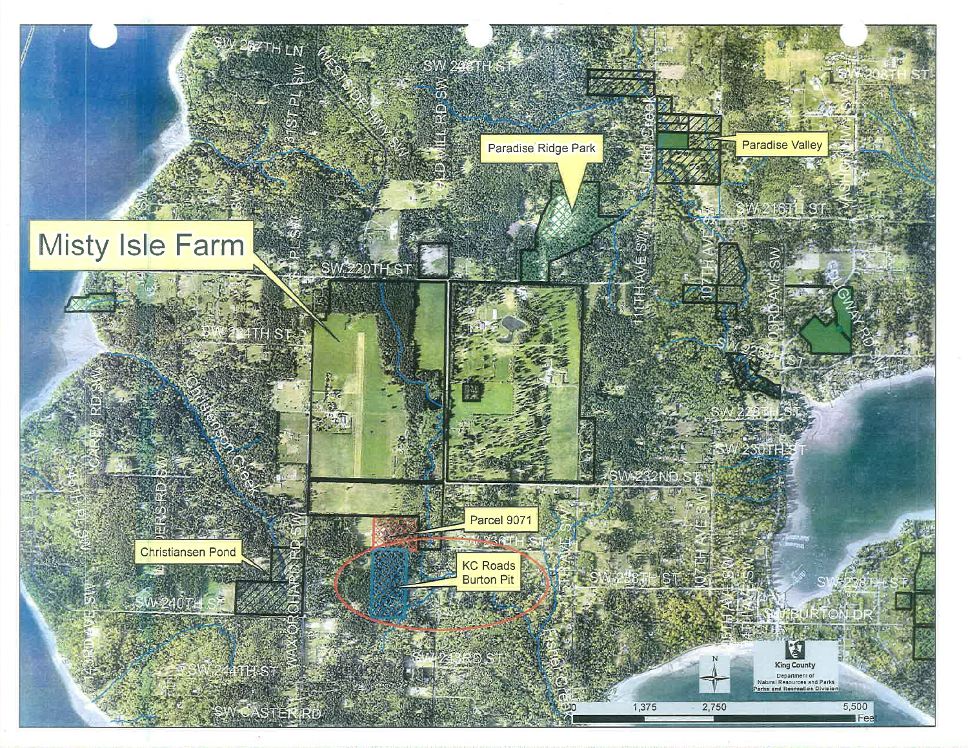